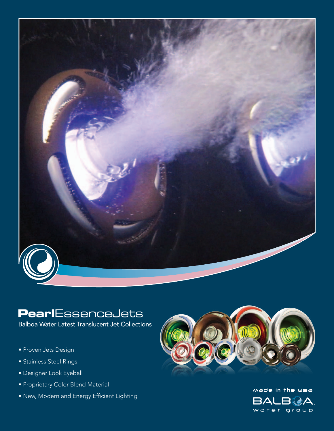

# **Pearl**EssenceJets

Balboa Water Latest Translucent Jet Collections

- Proven Jets Design
- Stainless Steel Rings
- Designer Look Eyeball
- Proprietary Color Blend Material
- New, Modern and Energy Efficient Lighting